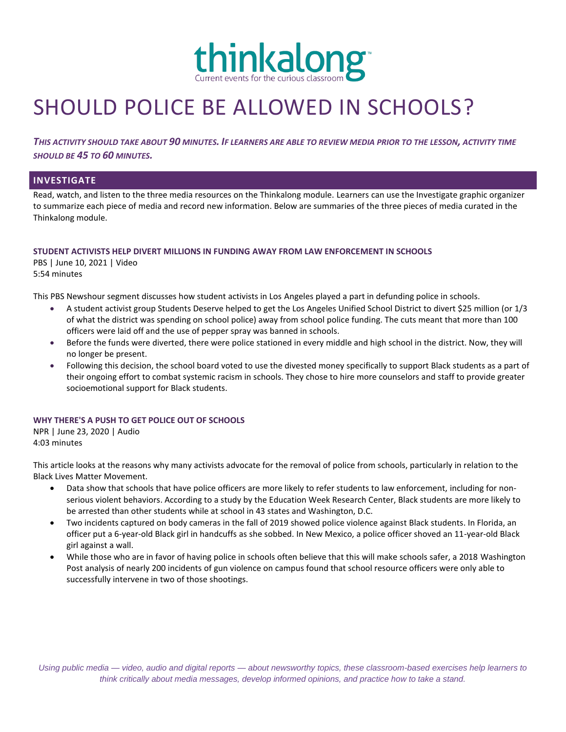

# SHOULD POLICE BE ALLOWED IN SCHOOLS?

*THIS ACTIVITY SHOULD TAKE ABOUT 90 MINUTES. IF LEARNERS ARE ABLE TO REVIEW MEDIA PRIOR TO THE LESSON, ACTIVITY TIME SHOULD BE 45 TO 60 MINUTES.*

## **INVESTIGATE**

Read, watch, and listen to the three media resources on the Thinkalong module. Learners can use the Investigate graphic organizer to summarize each piece of media and record new information. Below are summaries of the three pieces of media curated in the Thinkalong module.

#### **STUDENT ACTIVISTS HELP DIVERT MILLIONS IN FUNDING AWAY FROM LAW ENFORCEMENT IN SCHOOLS**

PBS | June 10, 2021 | Video 5:54 minutes

This PBS Newshour segment discusses how student activists in Los Angeles played a part in defunding police in schools.

- A student activist group Students Deserve helped to get the Los Angeles Unified School District to divert \$25 million (or 1/3 of what the district was spending on school police) away from school police funding. The cuts meant that more than 100 officers were laid off and the use of pepper spray was banned in schools.
- Before the funds were diverted, there were police stationed in every middle and high school in the district. Now, they will no longer be present.
- Following this decision, the school board voted to use the divested money specifically to support Black students as a part of their ongoing effort to combat systemic racism in schools. They chose to hire more counselors and staff to provide greater socioemotional support for Black students.

### **WHY THERE'S A PUSH TO GET POLICE OUT OF SCHOOLS**

NPR | June 23, 2020 | Audio 4:03 minutes

This article looks at the reasons why many activists advocate for the removal of police from schools, particularly in relation to the Black Lives Matter Movement.

- Data show that schools that have police officers are more likely to refer students to law enforcement, including for nonserious violent behaviors. According to a study by the Education Week Research Center, Black students are more likely to be arrested than other students while at school in 43 states and Washington, D.C.
- Two incidents captured on body cameras in the fall of 2019 showed police violence against Black students. In Florida, an officer put a 6-year-old Black girl in handcuffs as she sobbed. In New Mexico, a police officer shoved an 11-year-old Black girl against a wall.
- While those who are in favor of having police in schools often believe that this will make schools safer, a 2018 Washington Post analysis of nearly 200 incidents of gun violence on campus found that school resource officers were only able to successfully intervene in two of those shootings.